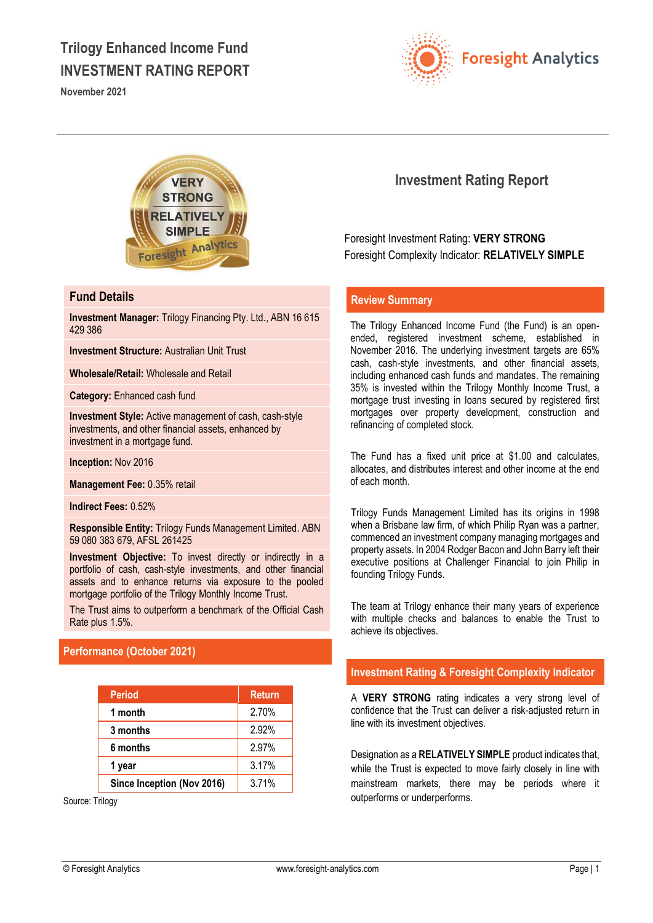# **Trilogy Enhanced Income Fund INVESTMENT RATING REPORT**

**November 2021**





### **Fund Details**

**Investment Manager:** Trilogy Financing Pty. Ltd., ABN 16 615 429 386

**Investment Structure:** Australian Unit Trust

**Wholesale/Retail:** Wholesale and Retail

**Category:** Enhanced cash fund

**Investment Style:** Active management of cash, cash-style investments, and other financial assets, enhanced by investment in a mortgage fund.

**Inception:** Nov 2016

**Management Fee:** 0.35% retail

**Indirect Fees:** 0.52%

**Responsible Entity:** Trilogy Funds Management Limited. ABN 59 080 383 679, AFSL 261425

**Investment Objective:** To invest directly or indirectly in a portfolio of cash, cash-style investments, and other financial assets and to enhance returns via exposure to the pooled mortgage portfolio of the Trilogy Monthly Income Trust.

The Trust aims to outperform a benchmark of the Official Cash Rate plus 1.5%.

# **Performance (October 2021)**

| <b>Period</b>              | <b>Return</b> |
|----------------------------|---------------|
| 1 month                    | 2.70%         |
| 3 months                   | 2.92%         |
| 6 months                   | 2.97%         |
| 1 year                     | 3.17%         |
| Since Inception (Nov 2016) | 3.71%         |

Source: Trilogy

# **Investment Rating Report**

Foresight Investment Rating: **VERY STRONG** Foresight Complexity Indicator: **RELATIVELY SIMPLE**

## **Review Summary**

The Trilogy Enhanced Income Fund (the Fund) is an openended, registered investment scheme, established in November 2016. The underlying investment targets are 65% cash, cash-style investments, and other financial assets, including enhanced cash funds and mandates. The remaining 35% is invested within the Trilogy Monthly Income Trust, a mortgage trust investing in loans secured by registered first mortgages over property development, construction and refinancing of completed stock.

The Fund has a fixed unit price at \$1.00 and calculates, allocates, and distributes interest and other income at the end of each month.

Trilogy Funds Management Limited has its origins in 1998 when a Brisbane law firm, of which Philip Ryan was a partner. commenced an investment company managing mortgages and property assets. In 2004 Rodger Bacon and John Barry left their executive positions at Challenger Financial to join Philip in founding Trilogy Funds.

The team at Trilogy enhance their many years of experience with multiple checks and balances to enable the Trust to achieve its objectives.

### **Investment Rating & Foresight Complexity Indicator**

A **VERY STRONG** rating indicates a very strong level of confidence that the Trust can deliver a risk-adjusted return in line with its investment objectives.

Designation as a **RELATIVELY SIMPLE** product indicates that, while the Trust is expected to move fairly closely in line with mainstream markets, there may be periods where it outperforms or underperforms.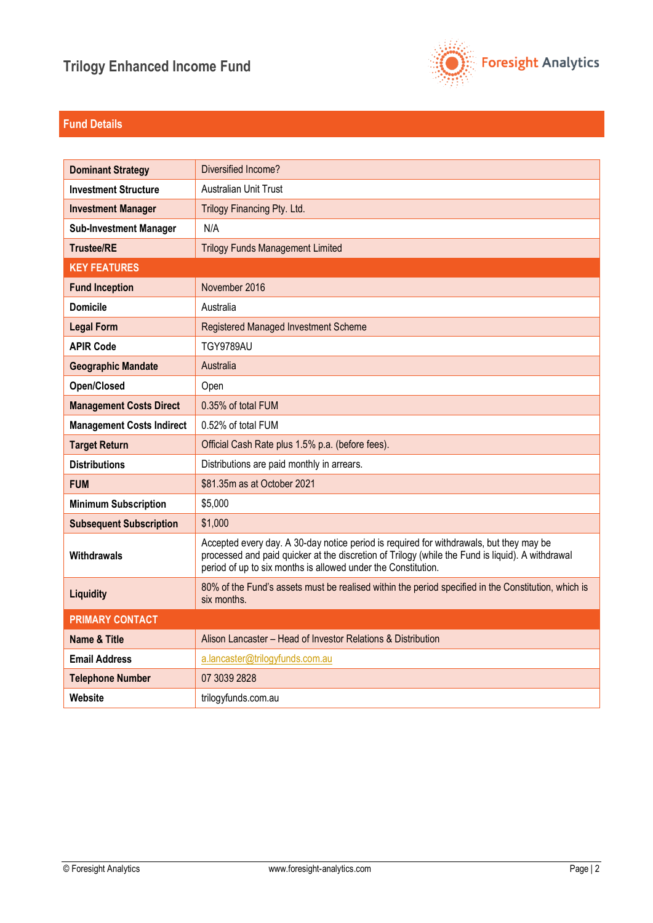

# **Fund Details**

| <b>Dominant Strategy</b>         | Diversified Income?                                                                                                                                                                                                                                          |
|----------------------------------|--------------------------------------------------------------------------------------------------------------------------------------------------------------------------------------------------------------------------------------------------------------|
| <b>Investment Structure</b>      | <b>Australian Unit Trust</b>                                                                                                                                                                                                                                 |
| <b>Investment Manager</b>        | Trilogy Financing Pty. Ltd.                                                                                                                                                                                                                                  |
| <b>Sub-Investment Manager</b>    | N/A                                                                                                                                                                                                                                                          |
| <b>Trustee/RE</b>                | <b>Trilogy Funds Management Limited</b>                                                                                                                                                                                                                      |
| <b>KEY FEATURES</b>              |                                                                                                                                                                                                                                                              |
| <b>Fund Inception</b>            | November 2016                                                                                                                                                                                                                                                |
| <b>Domicile</b>                  | Australia                                                                                                                                                                                                                                                    |
| <b>Legal Form</b>                | Registered Managed Investment Scheme                                                                                                                                                                                                                         |
| <b>APIR Code</b>                 | <b>TGY9789AU</b>                                                                                                                                                                                                                                             |
| <b>Geographic Mandate</b>        | Australia                                                                                                                                                                                                                                                    |
| Open/Closed                      | Open                                                                                                                                                                                                                                                         |
| <b>Management Costs Direct</b>   | 0.35% of total FUM                                                                                                                                                                                                                                           |
| <b>Management Costs Indirect</b> | 0.52% of total FUM                                                                                                                                                                                                                                           |
| <b>Target Return</b>             | Official Cash Rate plus 1.5% p.a. (before fees).                                                                                                                                                                                                             |
| <b>Distributions</b>             | Distributions are paid monthly in arrears.                                                                                                                                                                                                                   |
| <b>FUM</b>                       | \$81.35m as at October 2021                                                                                                                                                                                                                                  |
| <b>Minimum Subscription</b>      | \$5,000                                                                                                                                                                                                                                                      |
| <b>Subsequent Subscription</b>   | \$1,000                                                                                                                                                                                                                                                      |
| Withdrawals                      | Accepted every day. A 30-day notice period is required for withdrawals, but they may be<br>processed and paid quicker at the discretion of Trilogy (while the Fund is liquid). A withdrawal<br>period of up to six months is allowed under the Constitution. |
| Liquidity                        | 80% of the Fund's assets must be realised within the period specified in the Constitution, which is<br>six months.                                                                                                                                           |
| <b>PRIMARY CONTACT</b>           |                                                                                                                                                                                                                                                              |
| <b>Name &amp; Title</b>          | Alison Lancaster - Head of Investor Relations & Distribution                                                                                                                                                                                                 |
| <b>Email Address</b>             | a.lancaster@trilogyfunds.com.au                                                                                                                                                                                                                              |
| <b>Telephone Number</b>          | 07 3039 2828                                                                                                                                                                                                                                                 |
| Website                          | trilogyfunds.com.au                                                                                                                                                                                                                                          |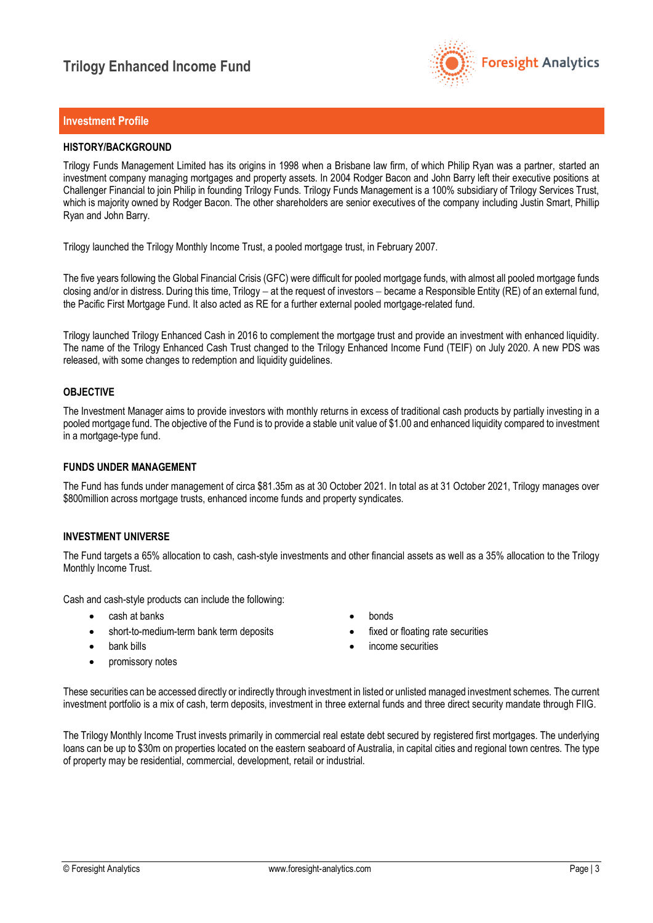

### **Investment Profile**

### **HISTORY/BACKGROUND**

Trilogy Funds Management Limited has its origins in 1998 when a Brisbane law firm, of which Philip Ryan was a partner, started an investment company managing mortgages and property assets. In 2004 Rodger Bacon and John Barry left their executive positions at Challenger Financial to join Philip in founding Trilogy Funds. Trilogy Funds Management is a 100% subsidiary of Trilogy Services Trust, which is majority owned by Rodger Bacon. The other shareholders are senior executives of the company including Justin Smart, Phillip Ryan and John Barry.

Trilogy launched the Trilogy Monthly Income Trust, a pooled mortgage trust, in February 2007.

The five years following the Global Financial Crisis (GFC) were difficult for pooled mortgage funds, with almost all pooled mortgage funds closing and/or in distress. During this time, Trilogy − at the request of investors − became a Responsible Entity (RE) of an external fund, the Pacific First Mortgage Fund. It also acted as RE for a further external pooled mortgage-related fund.

Trilogy launched Trilogy Enhanced Cash in 2016 to complement the mortgage trust and provide an investment with enhanced liquidity. The name of the Trilogy Enhanced Cash Trust changed to the Trilogy Enhanced Income Fund (TEIF) on July 2020. A new PDS was released, with some changes to redemption and liquidity guidelines.

### **OBJECTIVE**

The Investment Manager aims to provide investors with monthly returns in excess of traditional cash products by partially investing in a pooled mortgage fund. The objective of the Fund is to provide a stable unit value of \$1.00 and enhanced liquidity compared to investment in a mortgage-type fund.

### **FUNDS UNDER MANAGEMENT**

The Fund has funds under management of circa \$81.35m as at 30 October 2021. In total as at 31 October 2021, Trilogy manages over \$800 million across mortgage trusts, enhanced income funds and property syndicates.

### **INVESTMENT UNIVERSE**

The Fund targets a 65% allocation to cash, cash-style investments and other financial assets as well as a 35% allocation to the Trilogy Monthly Income Trust.

Cash and cash-style products can include the following:

- cash at banks
- short-to-medium-term bank term deposits
- bank bills
- promissory notes
- bonds
- fixed or floating rate securities
- income securities

These securities can be accessed directly or indirectly through investment in listed or unlisted managed investment schemes. The current investment portfolio is a mix of cash, term deposits, investment in three external funds and three direct security mandate through FIIG.

The Trilogy Monthly Income Trust invests primarily in commercial real estate debt secured by registered first mortgages. The underlying loans can be up to \$30m on properties located on the eastern seaboard of Australia, in capital cities and regional town centres. The type of property may be residential, commercial, development, retail or industrial.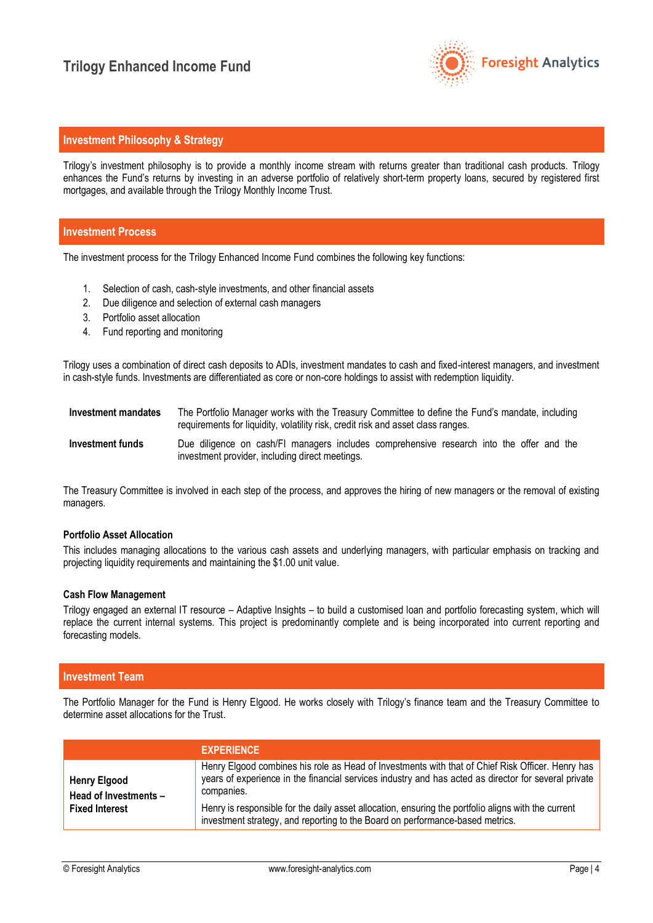

# **Investment Philosophy & Strategy**

Trilogy's investment philosophy is to provide a monthly income stream with returns greater than traditional cash products. Trilogy enhances the Fund's returns by investing in an adverse portfolio of relatively short-term property loans, secured by registered first mortgages, and available through the Trilogy Monthly Income Trust.

### **Investment Process**

The investment process for the Trilogy Enhanced Income Fund combines the following key functions:

- 1. Selection of cash, cash-style investments, and other financial assets
- 2. Due diligence and selection of external cash managers
- 3. Portfolio asset allocation
- 4. Fund reporting and monitoring

Trilogy uses a combination of direct cash deposits to ADIs, investment mandates to cash and fixed-interest managers, and investment in cash-style funds. Investments are differentiated as core or non-core holdings to assist with redemption liquidity.

| Investment mandates | The Portfolio Manager works with the Treasury Committee to define the Fund's mandate, including<br>requirements for liquidity, volatility risk, credit risk and asset class ranges. |
|---------------------|-------------------------------------------------------------------------------------------------------------------------------------------------------------------------------------|
| Investment funds    | Due diligence on cash/FI managers includes comprehensive research into the offer and the<br>investment provider, including direct meetings.                                         |

The Treasury Committee is involved in each step of the process, and approves the hiring of new managers or the removal of existing managers.

#### **Portfolio Asset Allocation**

This includes managing allocations to the various cash assets and underlying managers, with particular emphasis on tracking and projecting liquidity requirements and maintaining the \$1.00 unit value.

### **Cash Flow Management**

Trilogy engaged an external IT resource – Adaptive Insights – to build a customised loan and portfolio forecasting system, which will replace the current internal systems. This project is predominantly complete and is being incorporated into current reporting and forecasting models.

### **Investment Team**

The Portfolio Manager for the Fund is Henry Elgood. He works closely with Trilogy's finance team and the Treasury Committee to determine asset allocations for the Trust.

|                                              | <b>EXPERIENCE</b>                                                                                                                                                                                                      |
|----------------------------------------------|------------------------------------------------------------------------------------------------------------------------------------------------------------------------------------------------------------------------|
| <b>Henry Elgood</b><br>Head of Investments - | Henry Elgood combines his role as Head of Investments with that of Chief Risk Officer. Henry has<br>years of experience in the financial services industry and has acted as director for several private<br>companies. |
| <b>Fixed Interest</b>                        | Henry is responsible for the daily asset allocation, ensuring the portfolio aligns with the current<br>investment strategy, and reporting to the Board on performance-based metrics.                                   |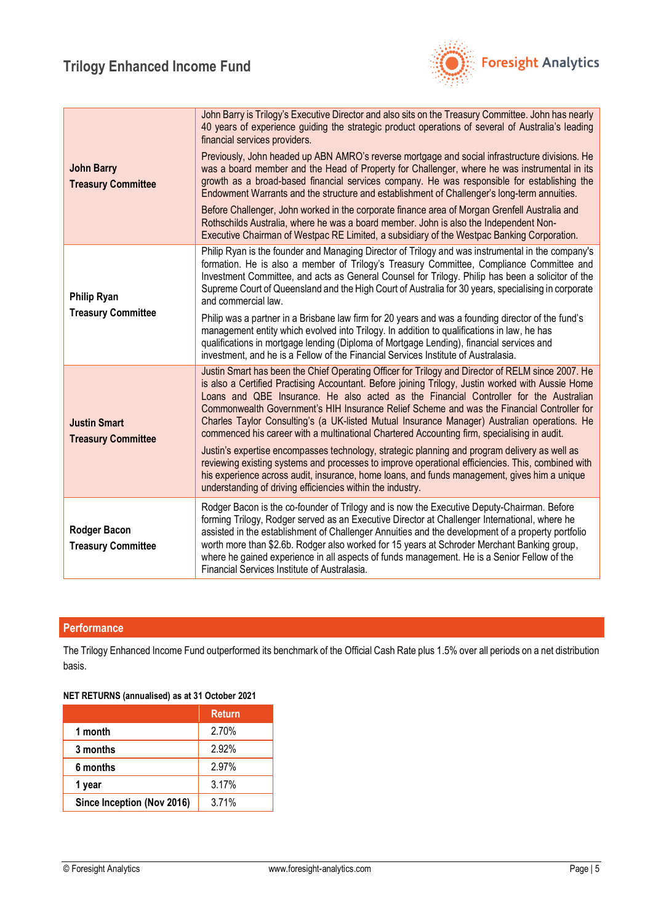

| <b>John Barry</b><br><b>Treasury Committee</b>   | John Barry is Trilogy's Executive Director and also sits on the Treasury Committee. John has nearly<br>40 years of experience guiding the strategic product operations of several of Australia's leading<br>financial services providers.<br>Previously, John headed up ABN AMRO's reverse mortgage and social infrastructure divisions. He<br>was a board member and the Head of Property for Challenger, where he was instrumental in its<br>growth as a broad-based financial services company. He was responsible for establishing the<br>Endowment Warrants and the structure and establishment of Challenger's long-term annuities. |
|--------------------------------------------------|-------------------------------------------------------------------------------------------------------------------------------------------------------------------------------------------------------------------------------------------------------------------------------------------------------------------------------------------------------------------------------------------------------------------------------------------------------------------------------------------------------------------------------------------------------------------------------------------------------------------------------------------|
|                                                  | Before Challenger, John worked in the corporate finance area of Morgan Grenfell Australia and<br>Rothschilds Australia, where he was a board member. John is also the Independent Non-<br>Executive Chairman of Westpac RE Limited, a subsidiary of the Westpac Banking Corporation.                                                                                                                                                                                                                                                                                                                                                      |
| <b>Philip Ryan</b><br><b>Treasury Committee</b>  | Philip Ryan is the founder and Managing Director of Trilogy and was instrumental in the company's<br>formation. He is also a member of Trilogy's Treasury Committee, Compliance Committee and<br>Investment Committee, and acts as General Counsel for Trilogy. Philip has been a solicitor of the<br>Supreme Court of Queensland and the High Court of Australia for 30 years, specialising in corporate<br>and commercial law.                                                                                                                                                                                                          |
|                                                  | Philip was a partner in a Brisbane law firm for 20 years and was a founding director of the fund's<br>management entity which evolved into Trilogy. In addition to qualifications in law, he has<br>qualifications in mortgage lending (Diploma of Mortgage Lending), financial services and<br>investment, and he is a Fellow of the Financial Services Institute of Australasia.                                                                                                                                                                                                                                                        |
| <b>Justin Smart</b><br><b>Treasury Committee</b> | Justin Smart has been the Chief Operating Officer for Trilogy and Director of RELM since 2007. He<br>is also a Certified Practising Accountant. Before joining Trilogy, Justin worked with Aussie Home<br>Loans and QBE Insurance. He also acted as the Financial Controller for the Australian<br>Commonwealth Government's HIH Insurance Relief Scheme and was the Financial Controller for<br>Charles Taylor Consulting's (a UK-listed Mutual Insurance Manager) Australian operations. He<br>commenced his career with a multinational Chartered Accounting firm, specialising in audit.                                              |
|                                                  | Justin's expertise encompasses technology, strategic planning and program delivery as well as<br>reviewing existing systems and processes to improve operational efficiencies. This, combined with<br>his experience across audit, insurance, home loans, and funds management, gives him a unique<br>understanding of driving efficiencies within the industry.                                                                                                                                                                                                                                                                          |
| <b>Rodger Bacon</b><br><b>Treasury Committee</b> | Rodger Bacon is the co-founder of Trilogy and is now the Executive Deputy-Chairman. Before<br>forming Trilogy, Rodger served as an Executive Director at Challenger International, where he<br>assisted in the establishment of Challenger Annuities and the development of a property portfolio<br>worth more than \$2.6b. Rodger also worked for 15 years at Schroder Merchant Banking group,<br>where he gained experience in all aspects of funds management. He is a Senior Fellow of the<br>Financial Services Institute of Australasia.                                                                                            |

# **Performance**

The Trilogy Enhanced Income Fund outperformed its benchmark of the Official Cash Rate plus 1.5% over all periods on a net distribution basis.

### **NET RETURNS (annualised) as at 31 October 2021**

|                            | <b>Return</b> |
|----------------------------|---------------|
| 1 month                    | 2.70%         |
| 3 months                   | 2.92%         |
| 6 months                   | 2.97%         |
| 1 year                     | 3.17%         |
| Since Inception (Nov 2016) | 3.71%         |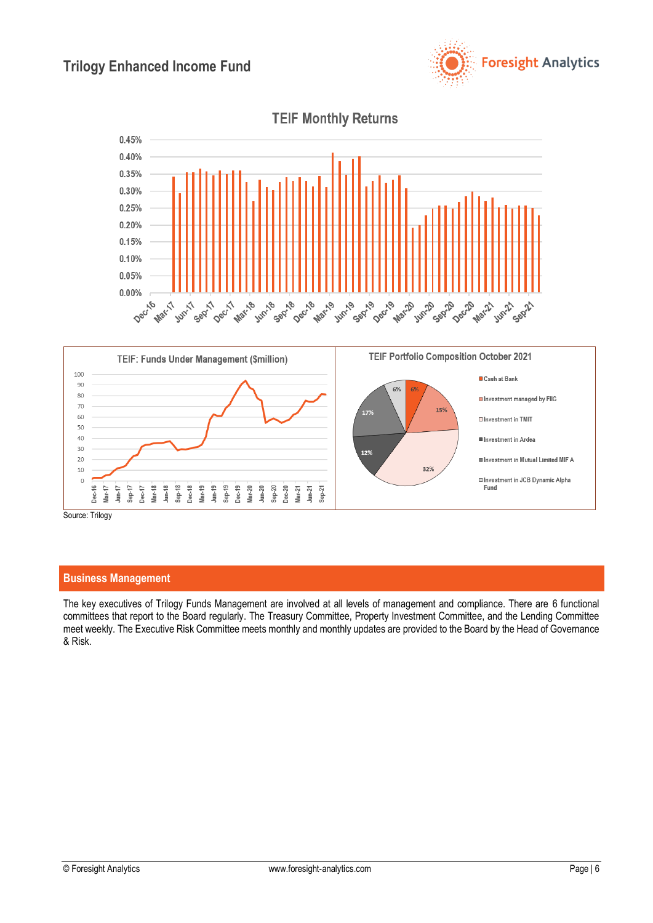





### **Business Management**

The key executives of Trilogy Funds Management are involved at all levels of management and compliance. There are 6 functional committees that report to the Board regularly. The Treasury Committee, Property Investment Committee, and the Lending Committee meet weekly. The Executive Risk Committee meets monthly and monthly updates are provided to the Board by the Head of Governance & Risk.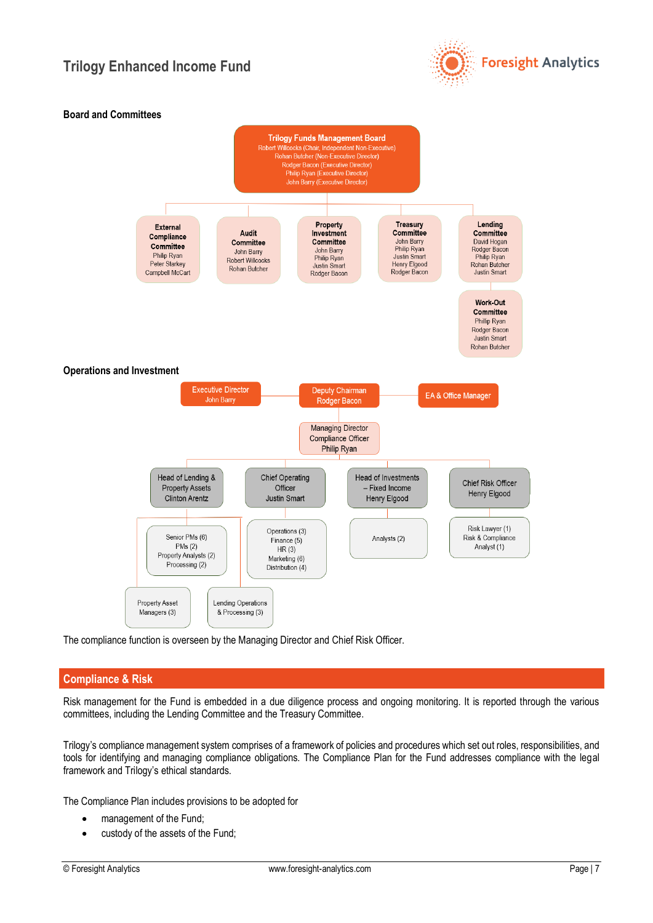



The compliance function is overseen by the Managing Director and Chief Risk Officer.

### **Compliance & Risk**

Risk management for the Fund is embedded in a due diligence process and ongoing monitoring. It is reported through the various committees, including the Lending Committee and the Treasury Committee.

Trilogy's compliance management system comprises of a framework of policies and procedures which set out roles, responsibilities, and tools for identifying and managing compliance obligations. The Compliance Plan for the Fund addresses compliance with the legal framework and Trilogy's ethical standards.

The Compliance Plan includes provisions to be adopted for

- management of the Fund:
- custody of the assets of the Fund;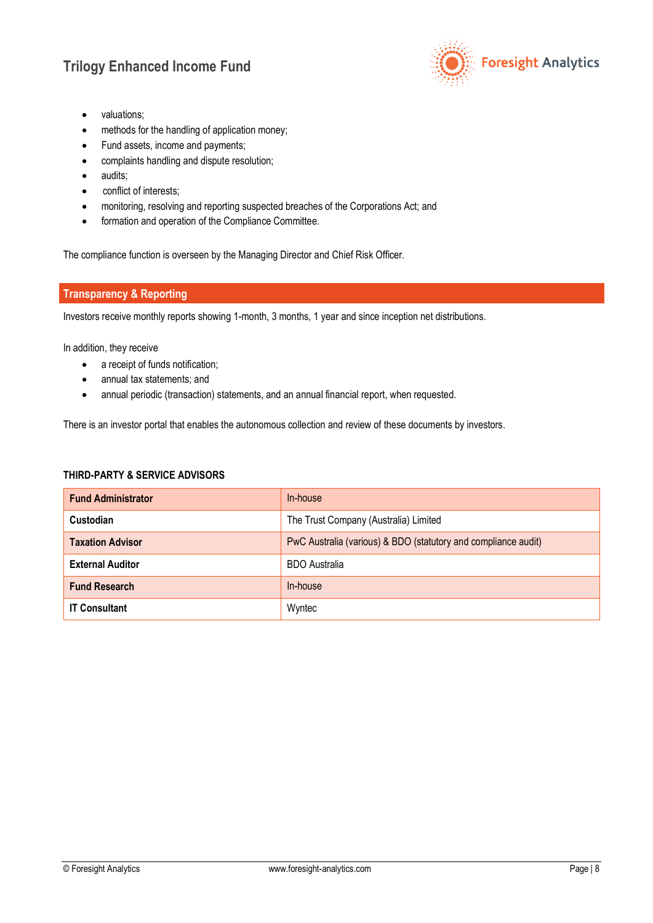

- valuations;
- methods for the handling of application money;
- Fund assets, income and payments;
- complaints handling and dispute resolution;
- audits;
- conflict of interests;
- monitoring, resolving and reporting suspected breaches of the Corporations Act; and
- formation and operation of the Compliance Committee.

The compliance function is overseen by the Managing Director and Chief Risk Officer.

## **Transparency & Reporting**

Investors receive monthly reports showing 1-month, 3 months, 1 year and since inception net distributions.

In addition, they receive

- a receipt of funds notification;
- annual tax statements; and
- annual periodic (transaction) statements, and an annual financial report, when requested.

There is an investor portal that enables the autonomous collection and review of these documents by investors.

# **THIRD-PARTY & SERVICE ADVISORS**

| <b>Fund Administrator</b> | In-house                                                       |
|---------------------------|----------------------------------------------------------------|
| Custodian                 | The Trust Company (Australia) Limited                          |
| <b>Taxation Advisor</b>   | PwC Australia (various) & BDO (statutory and compliance audit) |
| <b>External Auditor</b>   | <b>BDO</b> Australia                                           |
| <b>Fund Research</b>      | In-house                                                       |
| <b>IT Consultant</b>      | Wyntec                                                         |